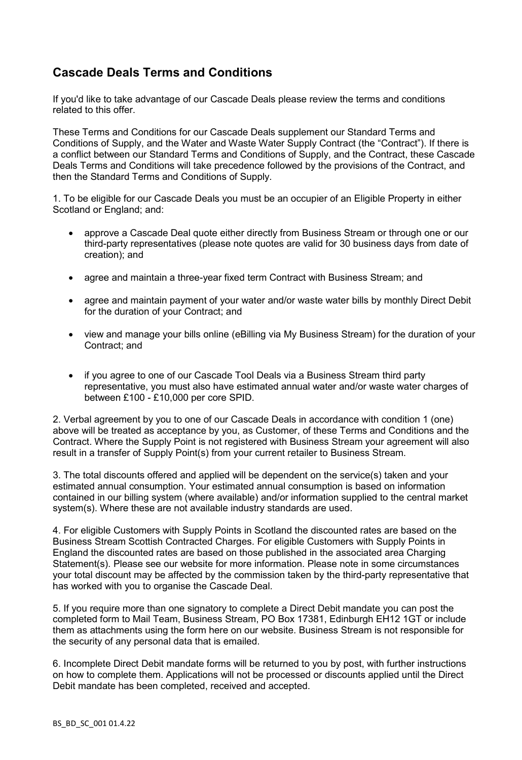## **Cascade Deals Terms and Conditions**

If you'd like to take advantage of our Cascade Deals please review the terms and conditions related to this offer.

These Terms and Conditions for our Cascade Deals supplement our Standard Terms and Conditions of Supply, and the Water and Waste Water Supply Contract (the "Contract"). If there is a conflict between our Standard Terms and Conditions of Supply, and the Contract, these Cascade Deals Terms and Conditions will take precedence followed by the provisions of the Contract, and then the Standard Terms and Conditions of Supply.

1. To be eligible for our Cascade Deals you must be an occupier of an Eligible Property in either Scotland or England; and:

- approve a Cascade Deal quote either directly from Business Stream or through one or our third-party representatives (please note quotes are valid for 30 business days from date of creation); and
- agree and maintain a three-year fixed term Contract with Business Stream; and
- agree and maintain payment of your water and/or waste water bills by monthly Direct Debit for the duration of your Contract; and
- view and manage your bills online (eBilling via My Business Stream) for the duration of your Contract; and
- if you agree to one of our Cascade Tool Deals via a Business Stream third party representative, you must also have estimated annual water and/or waste water charges of between £100 - £10,000 per core SPID.

2. Verbal agreement by you to one of our Cascade Deals in accordance with condition 1 (one) above will be treated as acceptance by you, as Customer, of these Terms and Conditions and the Contract. Where the Supply Point is not registered with Business Stream your agreement will also result in a transfer of Supply Point(s) from your current retailer to Business Stream.

3. The total discounts offered and applied will be dependent on the service(s) taken and your estimated annual consumption. Your estimated annual consumption is based on information contained in our billing system (where available) and/or information supplied to the central market system(s). Where these are not available industry standards are used.

4. For eligible Customers with Supply Points in Scotland the discounted rates are based on the Business Stream Scottish Contracted Charges. For eligible Customers with Supply Points in England the discounted rates are based on those published in the associated area Charging Statement(s). Please see our website for more information. Please note in some circumstances your total discount may be affected by the commission taken by the third-party representative that has worked with you to organise the Cascade Deal.

5. If you require more than one signatory to complete a Direct Debit mandate you can post the completed form to Mail Team, Business Stream, PO Box 17381, Edinburgh EH12 1GT or include them as attachments using the form here on our website. Business Stream is not responsible for the security of any personal data that is emailed.

6. Incomplete Direct Debit mandate forms will be returned to you by post, with further instructions on how to complete them. Applications will not be processed or discounts applied until the Direct Debit mandate has been completed, received and accepted.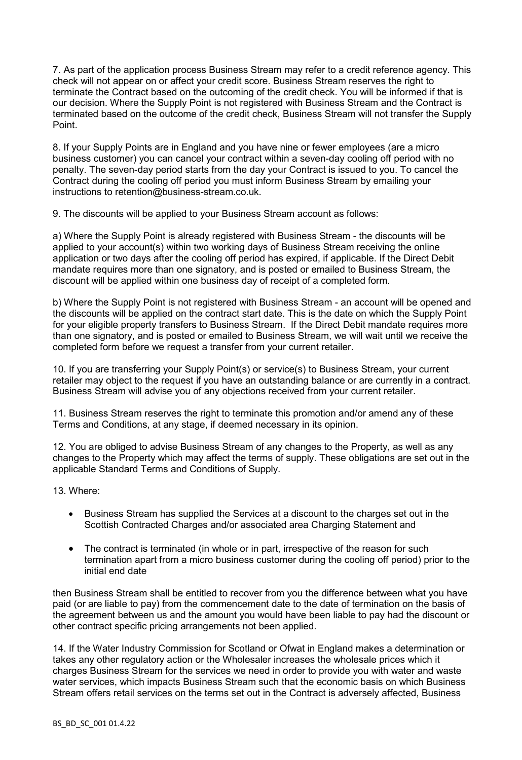7. As part of the application process Business Stream may refer to a credit reference agency. This check will not appear on or affect your credit score. Business Stream reserves the right to terminate the Contract based on the outcoming of the credit check. You will be informed if that is our decision. Where the Supply Point is not registered with Business Stream and the Contract is terminated based on the outcome of the credit check, Business Stream will not transfer the Supply Point.

8. If your Supply Points are in England and you have nine or fewer employees (are a micro business customer) you can cancel your contract within a seven-day cooling off period with no penalty. The seven-day period starts from the day your Contract is issued to you. To cancel the Contract during the cooling off period you must inform Business Stream by emailing your instructions to retention@business-stream.co.uk.

9. The discounts will be applied to your Business Stream account as follows:

a) Where the Supply Point is already registered with Business Stream - the discounts will be applied to your account(s) within two working days of Business Stream receiving the online application or two days after the cooling off period has expired, if applicable. If the Direct Debit mandate requires more than one signatory, and is posted or emailed to Business Stream, the discount will be applied within one business day of receipt of a completed form.

b) Where the Supply Point is not registered with Business Stream - an account will be opened and the discounts will be applied on the contract start date. This is the date on which the Supply Point for your eligible property transfers to Business Stream. If the Direct Debit mandate requires more than one signatory, and is posted or emailed to Business Stream, we will wait until we receive the completed form before we request a transfer from your current retailer.

10. If you are transferring your Supply Point(s) or service(s) to Business Stream, your current retailer may object to the request if you have an outstanding balance or are currently in a contract. Business Stream will advise you of any objections received from your current retailer.

11. Business Stream reserves the right to terminate this promotion and/or amend any of these Terms and Conditions, at any stage, if deemed necessary in its opinion.

12. You are obliged to advise Business Stream of any changes to the Property, as well as any changes to the Property which may affect the terms of supply. These obligations are set out in the applicable Standard Terms and Conditions of Supply.

13. Where:

- Business Stream has supplied the Services at a discount to the charges set out in the Scottish Contracted Charges and/or associated area Charging Statement and
- The contract is terminated (in whole or in part, irrespective of the reason for such termination apart from a micro business customer during the cooling off period) prior to the initial end date

then Business Stream shall be entitled to recover from you the difference between what you have paid (or are liable to pay) from the commencement date to the date of termination on the basis of the agreement between us and the amount you would have been liable to pay had the discount or other contract specific pricing arrangements not been applied.

14. If the Water Industry Commission for Scotland or Ofwat in England makes a determination or takes any other regulatory action or the Wholesaler increases the wholesale prices which it charges Business Stream for the services we need in order to provide you with water and waste water services, which impacts Business Stream such that the economic basis on which Business Stream offers retail services on the terms set out in the Contract is adversely affected, Business